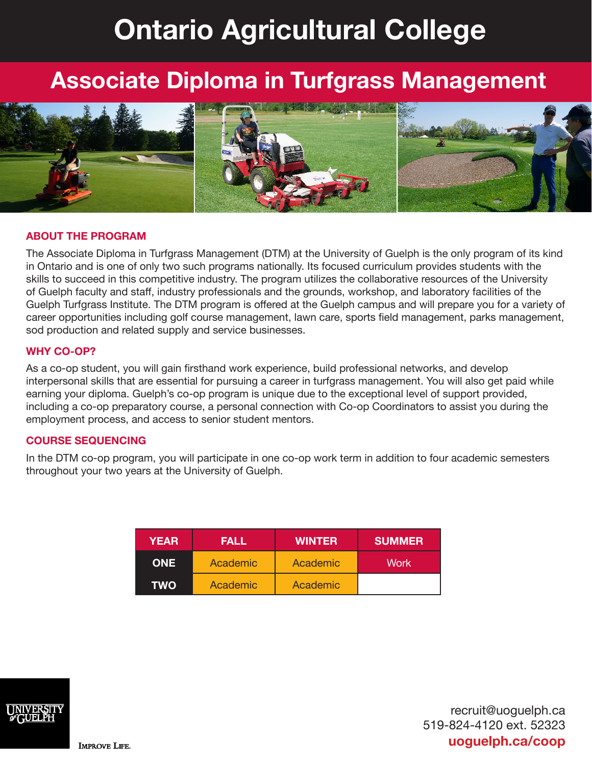# **Ontario Agricultural College**

## **Associate Diploma in Turfgrass Management**



#### **ABOUT THE PROGRAM**

The Associate Diploma in Turfgrass Management (DTM) at the University of Guelph is the only program of its kind in Ontario and is one of only two such programs nationally. Its focused curriculum provides students with the skills to succeed in this competitive industry. The program utilizes the collaborative resources of the University of Guelph faculty and staff, industry professionals and the grounds, workshop, and laboratory facilities of the Guelph Turfgrass Institute. The DTM program is offered at the Guelph campus and will prepare you for a variety of career opportunities including golf course management, lawn care, sports field management, parks management, sod production and related supply and service businesses.

#### **WHY CO-OP?**

As a co-op student, you will gain firsthand work experience, build professional networks, and develop interpersonal skills that are essential for pursuing a career in turfgrass management. You will also get paid while earning your diploma. Guelph's co-op program is unique due to the exceptional level of support provided, including a co-op preparatory course, a personal connection with Co-op Coordinators to assist you during the employment process, and access to senior student mentors.

#### **COURSE SEQUENCING**

In the DTM co-op program, you will participate in one co-op work term in addition to four academic semesters throughout your two years at the University of Guelph.

| <b>YEAR</b> | FALL     | <b>WINTER</b> | <b>SUMMER</b> |
|-------------|----------|---------------|---------------|
| <b>ONE</b>  | Academic | Academic      | Work          |
| TWO         | Academic | Academic      |               |



recruit@uoguelph.ca 519-824-4120 ext. 52323 **uoguelph.ca/coop**